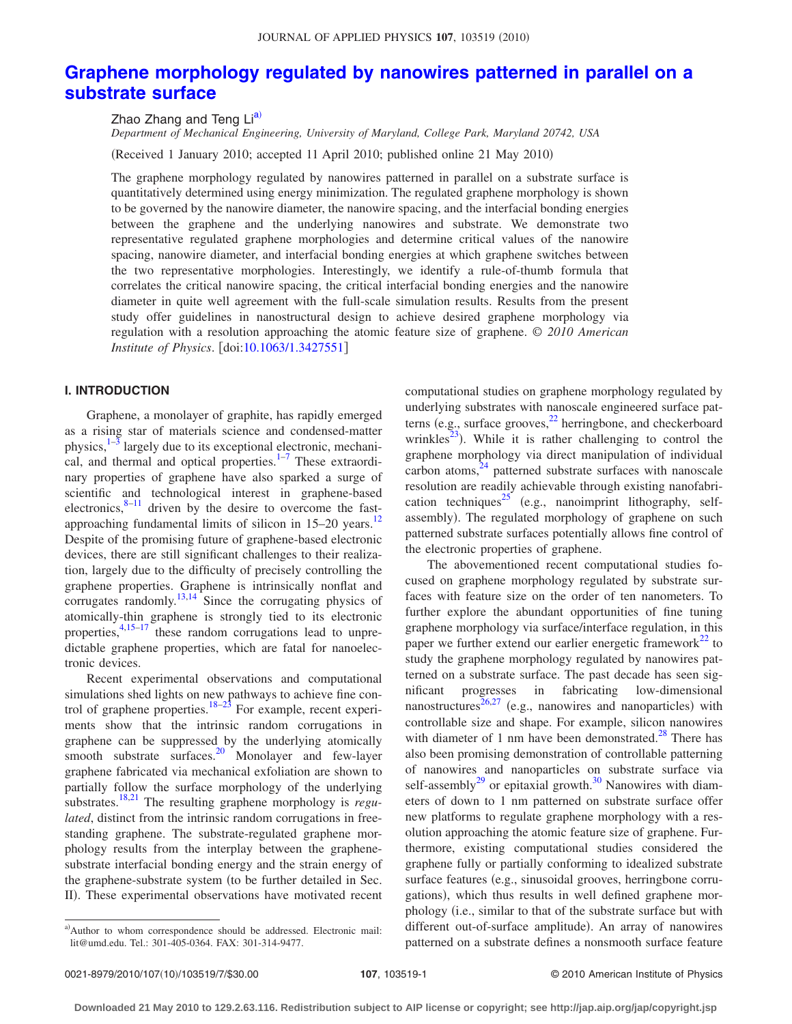# **[Graphene morphology regulated by nanowires patterned in parallel on a](http://dx.doi.org/10.1063/1.3427551) [substrate surface](http://dx.doi.org/10.1063/1.3427551)**

Zhao Zhang and Teng Lia)

*Department of Mechanical Engineering, University of Maryland, College Park, Maryland 20742, USA* (Received 1 January 2010; accepted 11 April 2010; published online 21 May 2010)

The graphene morphology regulated by nanowires patterned in parallel on a substrate surface is quantitatively determined using energy minimization. The regulated graphene morphology is shown to be governed by the nanowire diameter, the nanowire spacing, and the interfacial bonding energies between the graphene and the underlying nanowires and substrate. We demonstrate two representative regulated graphene morphologies and determine critical values of the nanowire spacing, nanowire diameter, and interfacial bonding energies at which graphene switches between the two representative morphologies. Interestingly, we identify a rule-of-thumb formula that correlates the critical nanowire spacing, the critical interfacial bonding energies and the nanowire diameter in quite well agreement with the full-scale simulation results. Results from the present study offer guidelines in nanostructural design to achieve desired graphene morphology via regulation with a resolution approaching the atomic feature size of graphene. © *2010 American Institute of Physics.* [doi[:10.1063/1.3427551](http://dx.doi.org/10.1063/1.3427551)]

## **I. INTRODUCTION**

Graphene, a monolayer of graphite, has rapidly emerged as a rising star of materials science and condensed-matter physics, $1-3$  largely due to its exceptional electronic, mechanical, and thermal and optical properties. $1\frac{1}{7}$  These extraordinary properties of graphene have also sparked a surge of scientific and technological interest in graphene-based electronics, $8-11$  driven by the desire to overcome the fastapproaching fundamental limits of silicon in 15–20 years.<sup>12</sup> Despite of the promising future of graphene-based electronic devices, there are still significant challenges to their realization, largely due to the difficulty of precisely controlling the graphene properties. Graphene is intrinsically nonflat and explorates randomly.<sup>13,[14](#page-6-7)</sup> Since the corrugating physics of atomically-thin graphene is strongly tied to its electronic properties,<sup>4,[15–](#page-6-9)[17](#page-6-10)</sup> these random corrugations lead to unpredictable graphene properties, which are fatal for nanoelectronic devices.

Recent experimental observations and computational simulations shed lights on new pathways to achieve fine con-trol of graphene properties.<sup>18[–23](#page-6-12)</sup> For example, recent experiments show that the intrinsic random corrugations in graphene can be suppressed by the underlying atomically smooth substrate surfaces. $20$  Monolayer and few-layer graphene fabricated via mechanical exfoliation are shown to partially follow the surface morphology of the underlying substrates[.18,](#page-6-11)[21](#page-6-14) The resulting graphene morphology is *regulated*, distinct from the intrinsic random corrugations in freestanding graphene. The substrate-regulated graphene morphology results from the interplay between the graphenesubstrate interfacial bonding energy and the strain energy of the graphene-substrate system (to be further detailed in Sec. II). These experimental observations have motivated recent

a)Author to whom correspondence should be addressed. Electronic mail: lit@umd.edu. Tel.: 301-405-0364. FAX: 301-314-9477.

computational studies on graphene morphology regulated by underlying substrates with nanoscale engineered surface patterns (e.g., surface grooves, $^{22}$  herringbone, and checkerboard wrinkles<sup>23</sup>). While it is rather challenging to control the graphene morphology via direct manipulation of individual carbon atoms, $24$  patterned substrate surfaces with nanoscale resolution are readily achievable through existing nanofabrication techniques<sup>25</sup> (e.g., nanoimprint lithography, selfassembly). The regulated morphology of graphene on such patterned substrate surfaces potentially allows fine control of the electronic properties of graphene.

The abovementioned recent computational studies focused on graphene morphology regulated by substrate surfaces with feature size on the order of ten nanometers. To further explore the abundant opportunities of fine tuning graphene morphology via surface/interface regulation, in this paper we further extend our earlier energetic framework<sup>22</sup> to study the graphene morphology regulated by nanowires patterned on a substrate surface. The past decade has seen significant progresses in fabricating low-dimensional nanostructures $^{26,27}$  $^{26,27}$  $^{26,27}$  (e.g., nanowires and nanoparticles) with controllable size and shape. For example, silicon nanowires with diameter of 1 nm have been demonstrated.<sup>28</sup> There has also been promising demonstration of controllable patterning of nanowires and nanoparticles on substrate surface via self-assembly<sup>29</sup> or epitaxial growth.<sup>30</sup> Nanowires with diameters of down to 1 nm patterned on substrate surface offer new platforms to regulate graphene morphology with a resolution approaching the atomic feature size of graphene. Furthermore, existing computational studies considered the graphene fully or partially conforming to idealized substrate surface features (e.g., sinusoidal grooves, herringbone corrugations), which thus results in well defined graphene morphology i.e., similar to that of the substrate surface but with different out-of-surface amplitude). An array of nanowires patterned on a substrate defines a nonsmooth surface feature

<sup>0021-8979/2010/107(10)/103519/7/\$30.00</sup>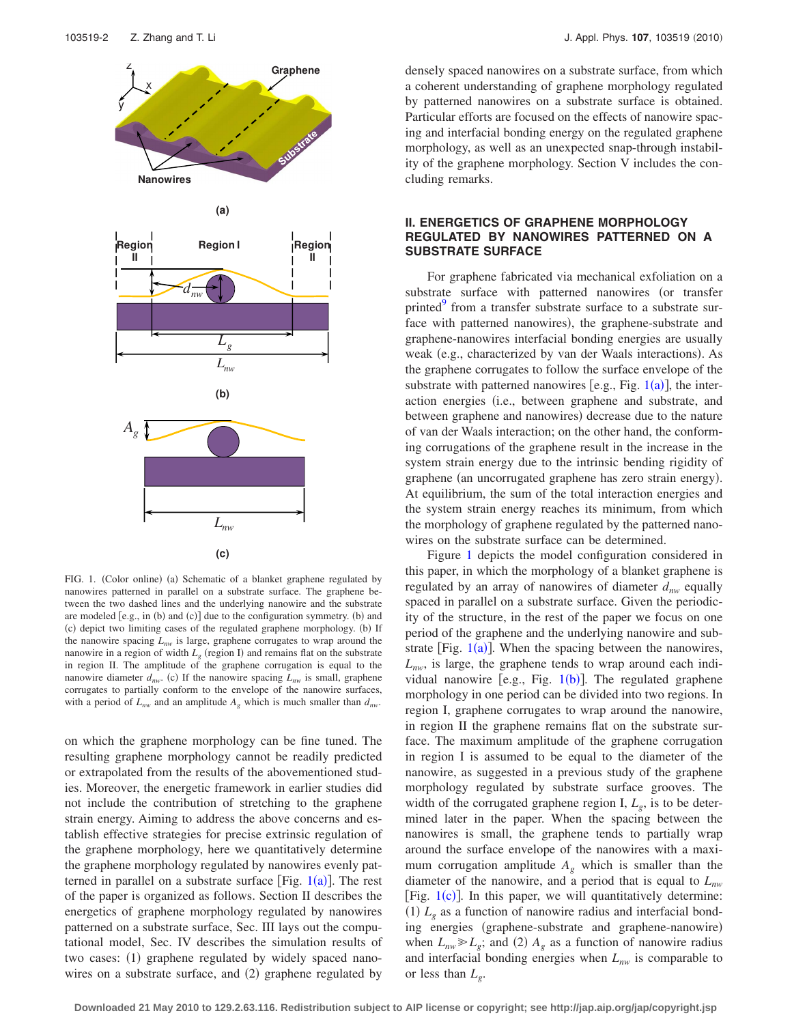<span id="page-1-0"></span>

FIG. 1. (Color online) (a) Schematic of a blanket graphene regulated by nanowires patterned in parallel on a substrate surface. The graphene between the two dashed lines and the underlying nanowire and the substrate are modeled  $[e.g., in (b) and (c)]$  due to the configuration symmetry. (b) and (c) depict two limiting cases of the regulated graphene morphology. (b) If the nanowire spacing  $L_{nw}$  is large, graphene corrugates to wrap around the nanowire in a region of width  $L<sub>g</sub>$  (region I) and remains flat on the substrate in region II. The amplitude of the graphene corrugation is equal to the nanowire diameter  $d_{nw}$ . (c) If the nanowire spacing  $L_{nw}$  is small, graphene corrugates to partially conform to the envelope of the nanowire surfaces, with a period of  $L_{nw}$  and an amplitude  $A_g$  which is much smaller than  $d_{nw}$ .

on which the graphene morphology can be fine tuned. The resulting graphene morphology cannot be readily predicted or extrapolated from the results of the abovementioned studies. Moreover, the energetic framework in earlier studies did not include the contribution of stretching to the graphene strain energy. Aiming to address the above concerns and establish effective strategies for precise extrinsic regulation of the graphene morphology, here we quantitatively determine the graphene morphology regulated by nanowires evenly patterned in parallel on a substrate surface [Fig.  $1(a)$  $1(a)$ ]. The rest of the paper is organized as follows. Section II describes the energetics of graphene morphology regulated by nanowires patterned on a substrate surface, Sec. III lays out the computational model, Sec. IV describes the simulation results of two cases: (1) graphene regulated by widely spaced nanowires on a substrate surface, and (2) graphene regulated by

densely spaced nanowires on a substrate surface, from which a coherent understanding of graphene morphology regulated by patterned nanowires on a substrate surface is obtained. Particular efforts are focused on the effects of nanowire spacing and interfacial bonding energy on the regulated graphene morphology, as well as an unexpected snap-through instability of the graphene morphology. Section V includes the concluding remarks.

## **II. ENERGETICS OF GRAPHENE MORPHOLOGY REGULATED BY NANOWIRES PATTERNED ON A SUBSTRATE SURFACE**

For graphene fabricated via mechanical exfoliation on a substrate surface with patterned nanowires (or transfer printed<sup>9</sup> from a transfer substrate surface to a substrate surface with patterned nanowires), the graphene-substrate and graphene-nanowires interfacial bonding energies are usually weak (e.g., characterized by van der Waals interactions). As the graphene corrugates to follow the surface envelope of the substrate with patterned nanowires [e.g., Fig.  $1(a)$  $1(a)$ ], the interaction energies (i.e., between graphene and substrate, and between graphene and nanowires) decrease due to the nature of van der Waals interaction; on the other hand, the conforming corrugations of the graphene result in the increase in the system strain energy due to the intrinsic bending rigidity of graphene (an uncorrugated graphene has zero strain energy). At equilibrium, the sum of the total interaction energies and the system strain energy reaches its minimum, from which the morphology of graphene regulated by the patterned nanowires on the substrate surface can be determined.

Figure [1](#page-1-0) depicts the model configuration considered in this paper, in which the morphology of a blanket graphene is regulated by an array of nanowires of diameter  $d_{nw}$  equally spaced in parallel on a substrate surface. Given the periodicity of the structure, in the rest of the paper we focus on one period of the graphene and the underlying nanowire and substrate [Fig.  $1(a)$  $1(a)$ ]. When the spacing between the nanowires,  $L_{nw}$ , is large, the graphene tends to wrap around each individual nanowire [e.g., Fig.  $1(b)$  $1(b)$ ]. The regulated graphene morphology in one period can be divided into two regions. In region I, graphene corrugates to wrap around the nanowire, in region II the graphene remains flat on the substrate surface. The maximum amplitude of the graphene corrugation in region I is assumed to be equal to the diameter of the nanowire, as suggested in a previous study of the graphene morphology regulated by substrate surface grooves. The width of the corrugated graphene region I,  $L_g$ , is to be determined later in the paper. When the spacing between the nanowires is small, the graphene tends to partially wrap around the surface envelope of the nanowires with a maximum corrugation amplitude  $A_{g}$  which is smaller than the diameter of the nanowire, and a period that is equal to *Lnw* [Fig.  $1(c)$  $1(c)$ ]. In this paper, we will quantitatively determine: (1)  $L_g$  as a function of nanowire radius and interfacial bonding energies (graphene-substrate and graphene-nanowire) when  $L_{nw} \ge L_g$ ; and (2)  $A_g$  as a function of nanowire radius and interfacial bonding energies when  $L_{nw}$  is comparable to or less than  $L_{\varrho}$ .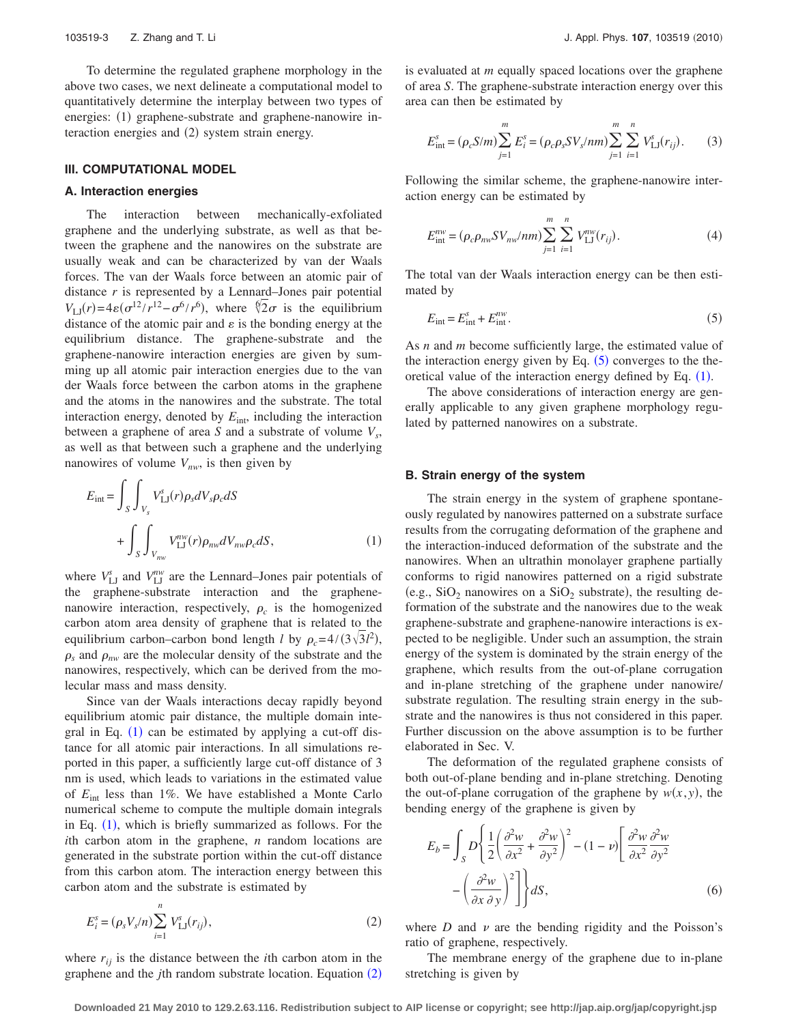To determine the regulated graphene morphology in the above two cases, we next delineate a computational model to quantitatively determine the interplay between two types of energies: (1) graphene-substrate and graphene-nanowire interaction energies and (2) system strain energy.

#### **III. COMPUTATIONAL MODEL**

### **A. Interaction energies**

The interaction between mechanically-exfoliated graphene and the underlying substrate, as well as that between the graphene and the nanowires on the substrate are usually weak and can be characterized by van der Waals forces. The van der Waals force between an atomic pair of distance *r* is represented by a Lennard–Jones pair potential  $V_{LJ}(r) = 4\varepsilon (\sigma^{12}/r^{12} - \sigma^6/r^6)$ , where  $\sqrt[6]{2}\sigma$  is the equilibrium distance of the atomic pair and  $\varepsilon$  is the bonding energy at the equilibrium distance. The graphene-substrate and the graphene-nanowire interaction energies are given by summing up all atomic pair interaction energies due to the van der Waals force between the carbon atoms in the graphene and the atoms in the nanowires and the substrate. The total interaction energy, denoted by  $E_{\text{int}}$ , including the interaction between a graphene of area *S* and a substrate of volume  $V_s$ , as well as that between such a graphene and the underlying nanowires of volume  $V_{nw}$ , is then given by

<span id="page-2-0"></span>
$$
E_{int} = \int_{S} \int_{V_{s}} V_{LJ}^{s}(r) \rho_{s} dV_{s} \rho_{c} dS
$$
  
+ 
$$
\int_{S} \int_{V_{n w}} V_{LJ}^{n w}(r) \rho_{n w} dV_{n w} \rho_{c} dS,
$$
 (1)

where  $V_{\text{LJ}}^s$  and  $V_{\text{LJ}}^{nw}$  are the Lennard–Jones pair potentials of the graphene-substrate interaction and the graphenenanowire interaction, respectively,  $\rho_c$  is the homogenized carbon atom area density of graphene that is related to the equilibrium carbon–carbon bond length *l* by  $\rho_c = 4/(3\sqrt{3}l^2)$ ,  $\rho_s$  and  $\rho_{nw}$  are the molecular density of the substrate and the nanowires, respectively, which can be derived from the molecular mass and mass density.

Since van der Waals interactions decay rapidly beyond equilibrium atomic pair distance, the multiple domain integral in Eq.  $(1)$  $(1)$  $(1)$  can be estimated by applying a cut-off distance for all atomic pair interactions. In all simulations reported in this paper, a sufficiently large cut-off distance of 3 nm is used, which leads to variations in the estimated value of *E*int less than 1%. We have established a Monte Carlo numerical scheme to compute the multiple domain integrals in Eq.  $(1)$  $(1)$  $(1)$ , which is briefly summarized as follows. For the *i*th carbon atom in the graphene, *n* random locations are generated in the substrate portion within the cut-off distance from this carbon atom. The interaction energy between this carbon atom and the substrate is estimated by

<span id="page-2-1"></span>
$$
E_i^s = (\rho_s V_s/n) \sum_{i=1}^n V_{\text{LJ}}^s(r_{ij}),
$$
\n(2)

where  $r_{ij}$  is the distance between the *i*th carbon atom in the graphene and the *j*th random substrate location. Equation ([2](#page-2-1))

is evaluated at *m* equally spaced locations over the graphene of area *S*. The graphene-substrate interaction energy over this area can then be estimated by

$$
E_{\text{int}}^{s} = (\rho_c S/m) \sum_{j=1}^{m} E_i^{s} = (\rho_c \rho_s SV_s/nm) \sum_{j=1}^{m} \sum_{i=1}^{n} V_{\text{LJ}}^{s}(r_{ij}).
$$
 (3)

Following the similar scheme, the graphene-nanowire interaction energy can be estimated by

$$
E_{\text{int}}^{nw} = (\rho_c \rho_{nw} S V_{nw}/nm) \sum_{j=1}^{m} \sum_{i=1}^{n} V_{\text{LJ}}^{nw}(r_{ij}).
$$
 (4)

The total van der Waals interaction energy can be then estimated by

<span id="page-2-2"></span>
$$
E_{\rm int} = E_{\rm int}^s + E_{\rm int}^{nw}.\tag{5}
$$

As *n* and *m* become sufficiently large, the estimated value of the interaction energy given by Eq.  $(5)$  $(5)$  $(5)$  converges to the theoretical value of the interaction energy defined by Eq.  $(1)$  $(1)$  $(1)$ .

The above considerations of interaction energy are generally applicable to any given graphene morphology regulated by patterned nanowires on a substrate.

### **B. Strain energy of the system**

The strain energy in the system of graphene spontaneously regulated by nanowires patterned on a substrate surface results from the corrugating deformation of the graphene and the interaction-induced deformation of the substrate and the nanowires. When an ultrathin monolayer graphene partially conforms to rigid nanowires patterned on a rigid substrate (e.g.,  $SiO<sub>2</sub>$  nanowires on a  $SiO<sub>2</sub>$  substrate), the resulting deformation of the substrate and the nanowires due to the weak graphene-substrate and graphene-nanowire interactions is expected to be negligible. Under such an assumption, the strain energy of the system is dominated by the strain energy of the graphene, which results from the out-of-plane corrugation and in-plane stretching of the graphene under nanowire/ substrate regulation. The resulting strain energy in the substrate and the nanowires is thus not considered in this paper. Further discussion on the above assumption is to be further elaborated in Sec. V.

The deformation of the regulated graphene consists of both out-of-plane bending and in-plane stretching. Denoting the out-of-plane corrugation of the graphene by  $w(x, y)$ , the bending energy of the graphene is given by

<span id="page-2-3"></span>
$$
E_b = \int_S D \left\{ \frac{1}{2} \left( \frac{\partial^2 w}{\partial x^2} + \frac{\partial^2 w}{\partial y^2} \right)^2 - (1 - v) \left[ \frac{\partial^2 w}{\partial x^2} \frac{\partial^2 w}{\partial y^2} - \left( \frac{\partial^2 w}{\partial x \partial y} \right)^2 \right] \right\} dS, \tag{6}
$$

where *D* and  $\nu$  are the bending rigidity and the Poisson's ratio of graphene, respectively.

The membrane energy of the graphene due to in-plane stretching is given by

**Downloaded 21 May 2010 to 129.2.63.116. Redistribution subject to AIP license or copyright; see http://jap.aip.org/jap/copyright.jsp**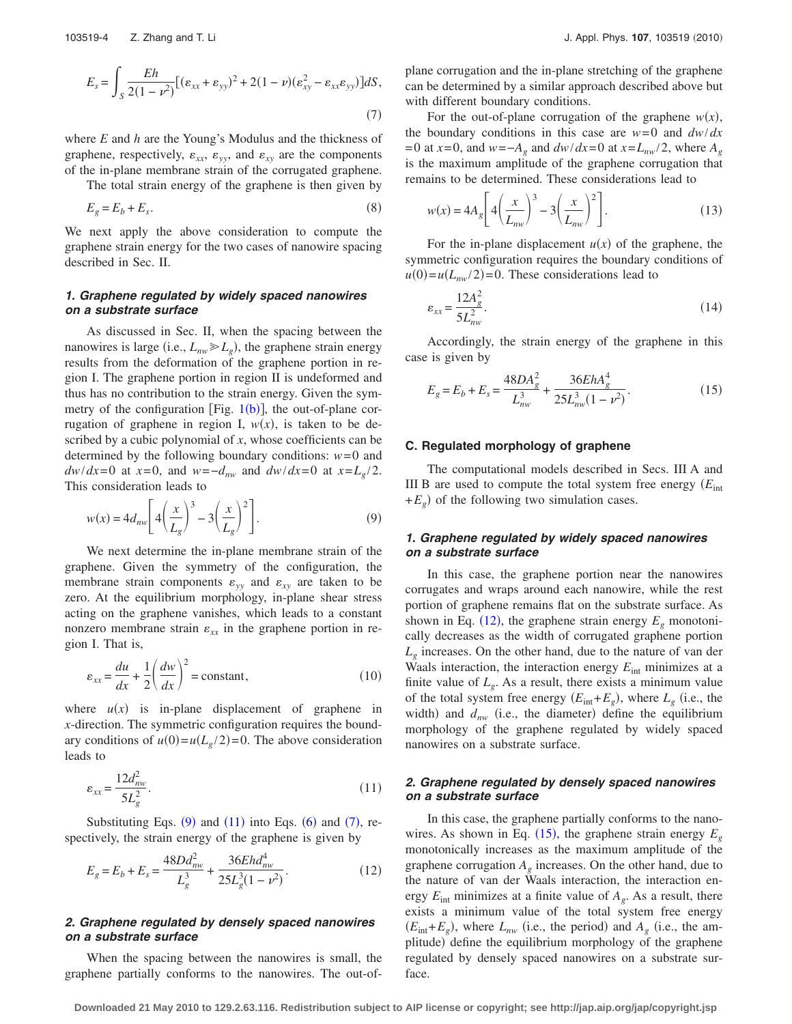<span id="page-3-2"></span>
$$
E_s = \int_S \frac{Eh}{2(1-\nu^2)} [(\varepsilon_{xx} + \varepsilon_{yy})^2 + 2(1-\nu)(\varepsilon_{xy}^2 - \varepsilon_{xx}\varepsilon_{yy})]dS,
$$
\n(7)

where *E* and *h* are the Young's Modulus and the thickness of graphene, respectively,  $\varepsilon_{xx}$ ,  $\varepsilon_{yy}$ , and  $\varepsilon_{xy}$  are the components of the in-plane membrane strain of the corrugated graphene.

The total strain energy of the graphene is then given by

$$
E_g = E_b + E_s. \tag{8}
$$

We next apply the above consideration to compute the graphene strain energy for the two cases of nanowire spacing described in Sec. II.

## *1. Graphene regulated by widely spaced nanowires on a substrate surface*

As discussed in Sec. II, when the spacing between the nanowires is large (i.e.,  $L_{nw} \gg L_g$ ), the graphene strain energy results from the deformation of the graphene portion in region I. The graphene portion in region II is undeformed and thus has no contribution to the strain energy. Given the symmetry of the configuration [Fig.  $1(b)$  $1(b)$ ], the out-of-plane corrugation of graphene in region I,  $w(x)$ , is taken to be described by a cubic polynomial of *x*, whose coefficients can be determined by the following boundary conditions: *w*=0 and *dw*/*dx*=0 at *x*=0, and *w*=−*d<sub>nw</sub>* and *dw*/*dx*=0 at *x*=*L<sub>g</sub>*/2. This consideration leads to

<span id="page-3-0"></span>
$$
w(x) = 4d_{nw} \left[ 4\left(\frac{x}{L_g}\right)^3 - 3\left(\frac{x}{L_g}\right)^2 \right].
$$
 (9)

We next determine the in-plane membrane strain of the graphene. Given the symmetry of the configuration, the membrane strain components  $\varepsilon_{yy}$  and  $\varepsilon_{xy}$  are taken to be zero. At the equilibrium morphology, in-plane shear stress acting on the graphene vanishes, which leads to a constant nonzero membrane strain  $\varepsilon_{xx}$  in the graphene portion in region I. That is,

$$
\varepsilon_{xx} = \frac{du}{dx} + \frac{1}{2} \left( \frac{dw}{dx} \right)^2 = \text{constant},\tag{10}
$$

where  $u(x)$  is in-plane displacement of graphene in *x*-direction. The symmetric configuration requires the boundary conditions of  $u(0) = u(L_g/2) = 0$ . The above consideration leads to

<span id="page-3-1"></span>
$$
\varepsilon_{xx} = \frac{12d_{nw}^2}{5L_g^2}.\tag{11}
$$

Substituting Eqs.  $(9)$  $(9)$  $(9)$  and  $(11)$  $(11)$  $(11)$  into Eqs.  $(6)$  $(6)$  $(6)$  and  $(7)$  $(7)$  $(7)$ , respectively, the strain energy of the graphene is given by

<span id="page-3-3"></span>
$$
E_g = E_b + E_s = \frac{48Dd_{nw}^2}{L_g^3} + \frac{36Ehd_{nw}^4}{25L_g^3(1-\nu^2)}.
$$
\n(12)

## *2. Graphene regulated by densely spaced nanowires on a substrate surface*

When the spacing between the nanowires is small, the graphene partially conforms to the nanowires. The out-ofplane corrugation and the in-plane stretching of the graphene can be determined by a similar approach described above but with different boundary conditions.

For the out-of-plane corrugation of the graphene  $w(x)$ , the boundary conditions in this case are  $w=0$  and  $dw/dx$ =0 at *x*=0, and *w*=−*Ag* and *dw*/*dx*=0 at *x*=*Lnw*/2, where *Ag* is the maximum amplitude of the graphene corrugation that remains to be determined. These considerations lead to

$$
w(x) = 4A_g \left[ 4\left(\frac{x}{L_{nw}}\right)^3 - 3\left(\frac{x}{L_{nw}}\right)^2 \right].
$$
 (13)

For the in-plane displacement  $u(x)$  of the graphene, the symmetric configuration requires the boundary conditions of  $u(0) = u(L_{nw}/2) = 0$ . These considerations lead to

$$
\varepsilon_{xx} = \frac{12A_g^2}{5L_{nw}^2}.\tag{14}
$$

Accordingly, the strain energy of the graphene in this case is given by

<span id="page-3-4"></span>
$$
E_g = E_b + E_s = \frac{48DA_s^2}{L_{nw}^3} + \frac{36EhA_g^4}{25L_{nw}^3(1-\nu^2)}.
$$
 (15)

### **C. Regulated morphology of graphene**

The computational models described in Secs. III A and III B are used to compute the total system free energy  $(E_{\text{int}})$  $+E_g$ ) of the following two simulation cases.

## *1. Graphene regulated by widely spaced nanowires on a substrate surface*

In this case, the graphene portion near the nanowires corrugates and wraps around each nanowire, while the rest portion of graphene remains flat on the substrate surface. As shown in Eq.  $(12)$  $(12)$  $(12)$ , the graphene strain energy  $E<sub>g</sub>$  monotonically decreases as the width of corrugated graphene portion  $L<sub>g</sub>$  increases. On the other hand, due to the nature of van der Waals interaction, the interaction energy  $E_{int}$  minimizes at a finite value of  $L_{\varrho}$ . As a result, there exists a minimum value of the total system free energy  $(E_{int} + E_g)$ , where  $L_g$  (i.e., the width) and  $d_{nw}$  (i.e., the diameter) define the equilibrium morphology of the graphene regulated by widely spaced nanowires on a substrate surface.

## *2. Graphene regulated by densely spaced nanowires on a substrate surface*

In this case, the graphene partially conforms to the nanowires. As shown in Eq.  $(15)$  $(15)$  $(15)$ , the graphene strain energy  $E<sub>g</sub>$ monotonically increases as the maximum amplitude of the graphene corrugation *Ag* increases. On the other hand, due to the nature of van der Waals interaction, the interaction energy  $E_{int}$  minimizes at a finite value of  $A_g$ . As a result, there exists a minimum value of the total system free energy  $(E_{int} + E_g)$ , where  $L_{nw}$  (i.e., the period) and  $A_g$  (i.e., the amplitude) define the equilibrium morphology of the graphene regulated by densely spaced nanowires on a substrate surface.

**Downloaded 21 May 2010 to 129.2.63.116. Redistribution subject to AIP license or copyright; see http://jap.aip.org/jap/copyright.jsp**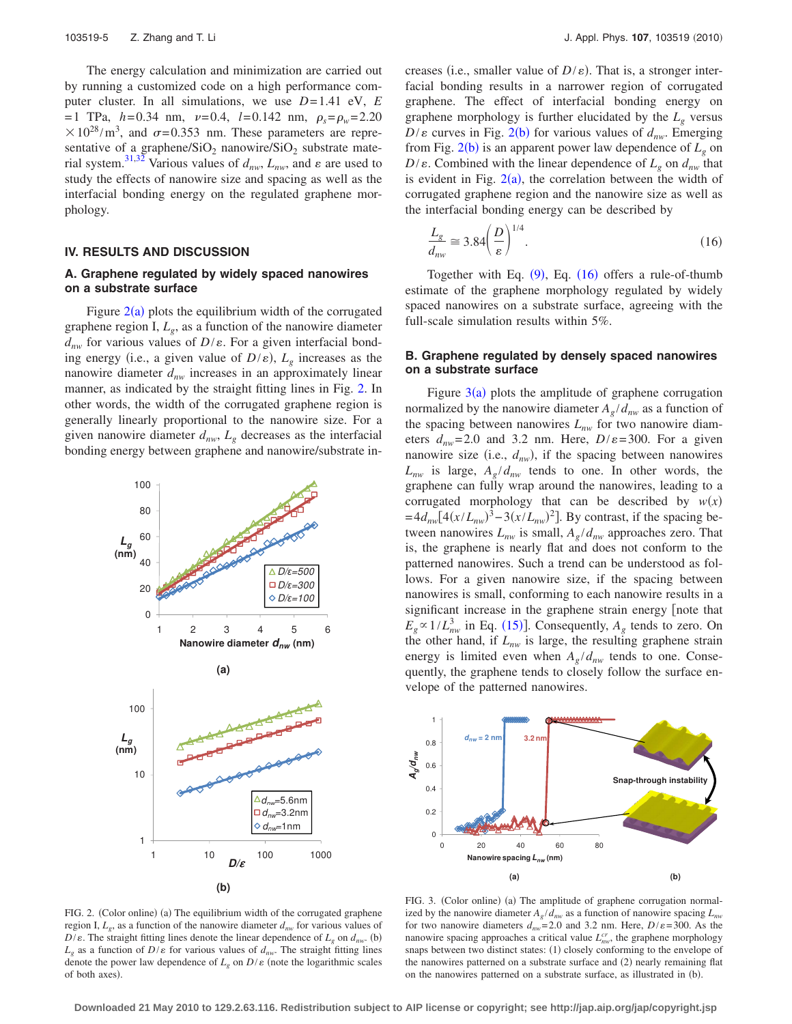The energy calculation and minimization are carried out by running a customized code on a high performance computer cluster. In all simulations, we use *D*=1.41 eV, *E*  $=1$  TPa,  $h=0.34$  nm,  $v=0.4$ ,  $l=0.142$  nm,  $\rho_s = \rho_w = 2.20$  $\times 10^{28}$ /m<sup>3</sup>, and  $\sigma$ =0.353 nm. These parameters are representative of a graphene/ $SiO<sub>2</sub>$  nanowire/ $SiO<sub>2</sub>$  substrate mate-rial system.<sup>31[,32](#page-6-25)</sup> Various values of  $d_{nw}$ ,  $L_{nw}$ , and  $\varepsilon$  are used to study the effects of nanowire size and spacing as well as the interfacial bonding energy on the regulated graphene morphology.

#### **IV. RESULTS AND DISCUSSION**

## **A. Graphene regulated by widely spaced nanowires on a substrate surface**

Figure  $2(a)$  $2(a)$  plots the equilibrium width of the corrugated graphene region I,  $L_{\varrho}$ , as a function of the nanowire diameter  $d_{nw}$  for various values of  $D/\varepsilon$ . For a given interfacial bonding energy (i.e., a given value of  $D/\varepsilon$ ),  $L_g$  increases as the nanowire diameter  $d_{nw}$  increases in an approximately linear manner, as indicated by the straight fitting lines in Fig. [2.](#page-4-0) In other words, the width of the corrugated graphene region is generally linearly proportional to the nanowire size. For a given nanowire diameter  $d_{nw}$ ,  $L_g$  decreases as the interfacial bonding energy between graphene and nanowire/substrate in-

<span id="page-4-0"></span>

FIG. 2. (Color online) (a) The equilibrium width of the corrugated graphene region I,  $L_g$ , as a function of the nanowire diameter  $d_{nw}$  for various values of  $D/\varepsilon$ . The straight fitting lines denote the linear dependence of  $L_g$  on  $d_{nw}$ . (b)  $L_g$  as a function of  $D/\varepsilon$  for various values of  $d_{nw}$ . The straight fitting lines denote the power law dependence of  $L_g$  on  $D/\varepsilon$  (note the logarithmic scales of both axes).

creases (i.e., smaller value of  $D/\varepsilon$ ). That is, a stronger interfacial bonding results in a narrower region of corrugated graphene. The effect of interfacial bonding energy on graphene morphology is further elucidated by the  $L_g$  versus  $D/\varepsilon$  curves in Fig. [2](#page-4-0)(b) for various values of  $d_{nw}$ . Emerging from Fig.  $2(b)$  $2(b)$  is an apparent power law dependence of  $L_g$  on  $D/\varepsilon$ . Combined with the linear dependence of  $L_g$  on  $d_{nw}$  that is evident in Fig.  $2(a)$  $2(a)$ , the correlation between the width of corrugated graphene region and the nanowire size as well as the interfacial bonding energy can be described by

<span id="page-4-1"></span>
$$
\frac{L_g}{d_{nw}} \approx 3.84 \left(\frac{D}{\varepsilon}\right)^{1/4}.\tag{16}
$$

Together with Eq.  $(9)$  $(9)$  $(9)$ , Eq.  $(16)$  $(16)$  $(16)$  offers a rule-of-thumb estimate of the graphene morphology regulated by widely spaced nanowires on a substrate surface, agreeing with the full-scale simulation results within 5%.

## **B. Graphene regulated by densely spaced nanowires on a substrate surface**

Figure  $3(a)$  $3(a)$  plots the amplitude of graphene corrugation normalized by the nanowire diameter  $A_g/d_{nw}$  as a function of the spacing between nanowires  $L_{nw}$  for two nanowire diameters  $d_{nw}$ =2.0 and 3.2 nm. Here,  $D/\varepsilon$ =300. For a given nanowire size (i.e.,  $d_{nw}$ ), if the spacing between nanowires  $L_{nw}$  is large,  $A_g/d_{nw}$  tends to one. In other words, the graphene can fully wrap around the nanowires, leading to a corrugated morphology that can be described by  $w(x)$  $=4d_{nw}[4(x/L_{nw})^3-3(x/L_{nw})^2]$ . By contrast, if the spacing between nanowires  $L_{nw}$  is small,  $A_g/d_{nw}$  approaches zero. That is, the graphene is nearly flat and does not conform to the patterned nanowires. Such a trend can be understood as follows. For a given nanowire size, if the spacing between nanowires is small, conforming to each nanowire results in a significant increase in the graphene strain energy [note that  $E_g \propto 1/L_{nw}^3$  in Eq. ([15](#page-3-4))]. Consequently,  $A_g$  tends to zero. On the other hand, if  $L_{nw}$  is large, the resulting graphene strain energy is limited even when  $A_g/d_{nw}$  tends to one. Consequently, the graphene tends to closely follow the surface envelope of the patterned nanowires.

<span id="page-4-2"></span>

FIG. 3. (Color online) (a) The amplitude of graphene corrugation normalized by the nanowire diameter  $A_g/d_{nw}$  as a function of nanowire spacing  $L_{nw}$ for two nanowire diameters  $d_{nw}$ =2.0 and 3.2 nm. Here,  $D/\varepsilon$ =300. As the nanowire spacing approaches a critical value  $L_{nw}^{cr}$ , the graphene morphology snaps between two distinct states: (1) closely conforming to the envelope of the nanowires patterned on a substrate surface and (2) nearly remaining flat on the nanowires patterned on a substrate surface, as illustrated in (b).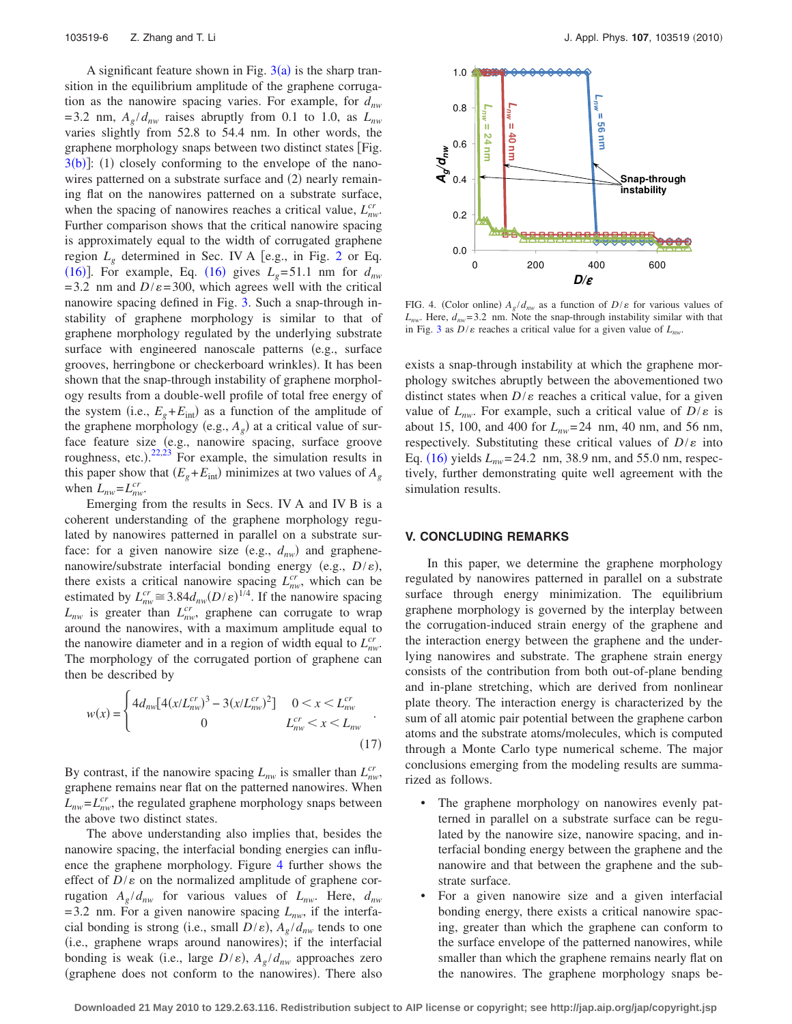A significant feature shown in Fig.  $3(a)$  $3(a)$  is the sharp transition in the equilibrium amplitude of the graphene corrugation as the nanowire spacing varies. For example, for *dnw* =3.2 nm,  $A_g/d_{nw}$  raises abruptly from 0.1 to 1.0, as  $L_{nw}$ varies slightly from 52.8 to 54.4 nm. In other words, the graphene morphology snaps between two distinct states Fig.  $3(b)$  $3(b)$ : (1) closely conforming to the envelope of the nanowires patterned on a substrate surface and (2) nearly remaining flat on the nanowires patterned on a substrate surface, when the spacing of nanowires reaches a critical value,  $L_{nw}^{cr}$ . Further comparison shows that the critical nanowire spacing is approximately equal to the width of corrugated graphene region  $L_{\varrho}$  determined in Sec. IV A [e.g., in Fig. [2](#page-4-0) or Eq. ([16](#page-4-1))]. For example, Eq. (16) gives  $L_g$ =51.1 nm for  $d_{nw}$  $=3.2$  nm and  $D/\varepsilon = 300$ , which agrees well with the critical nanowire spacing defined in Fig. [3.](#page-4-2) Such a snap-through instability of graphene morphology is similar to that of graphene morphology regulated by the underlying substrate surface with engineered nanoscale patterns (e.g., surface grooves, herringbone or checkerboard wrinkles). It has been shown that the snap-through instability of graphene morphology results from a double-well profile of total free energy of the system (i.e.,  $E_g + E_{int}$ ) as a function of the amplitude of the graphene morphology (e.g.,  $A_g$ ) at a critical value of surface feature size (e.g., nanowire spacing, surface groove roughness, etc.).<sup>[22,](#page-6-15)[23](#page-6-12)</sup> For example, the simulation results in this paper show that  $(E_g + E_{int})$  minimizes at two values of  $A_g$ when  $L_{nw} = L_{nw}^{cr}$ .

Emerging from the results in Secs. IV A and IV B is a coherent understanding of the graphene morphology regulated by nanowires patterned in parallel on a substrate surface: for a given nanowire size (e.g.,  $d_{nw}$ ) and graphenenanowire/substrate interfacial bonding energy (e.g.,  $D/\varepsilon$ ), there exists a critical nanowire spacing  $L_{nw}^{cr}$ , which can be estimated by  $L_{nw}^{cr} \cong 3.84 d_{nw} (D/\varepsilon)^{1/4}$ . If the nanowire spacing  $L_{nw}$  is greater than  $L_{nw}^{cr}$ , graphene can corrugate to wrap around the nanowires, with a maximum amplitude equal to the nanowire diameter and in a region of width equal to  $L_{nw}^{cr}$ . The morphology of the corrugated portion of graphene can then be described by

$$
w(x) = \begin{cases} 4d_{nw} [4(x/L_{nw}^{cr})^3 - 3(x/L_{nw}^{cr})^2] & 0 < x < L_{nw}^{cr} \\ 0 & L_{nw}^{cr} < x < L_{nw} \end{cases}
$$
(17)

By contrast, if the nanowire spacing  $L_{nw}$  is smaller than  $L_{nw}^{cr}$ , graphene remains near flat on the patterned nanowires. When  $L_{nw} = L_{nw}^{cr}$ , the regulated graphene morphology snaps between the above two distinct states.

The above understanding also implies that, besides the nanowire spacing, the interfacial bonding energies can influence the graphene morphology. Figure [4](#page-5-0) further shows the effect of  $D/\varepsilon$  on the normalized amplitude of graphene corrugation  $A_g/d_{nw}$  for various values of  $L_{nw}$ . Here,  $d_{nw}$  $=3.2$  nm. For a given nanowire spacing  $L_{nw}$ , if the interfacial bonding is strong (i.e., small  $D/\varepsilon$ ),  $A_g/d_{nw}$  tends to one (i.e., graphene wraps around nanowires); if the interfacial bonding is weak (i.e., large  $D/\varepsilon$ ),  $A_g/d_{nw}$  approaches zero (graphene does not conform to the nanowires). There also

<span id="page-5-0"></span>

FIG. 4. (Color online)  $A_g / d_{nw}$  as a function of  $D/\varepsilon$  for various values of  $L_{nw}$ . Here,  $d_{nw}$ =3.2 nm. Note the snap-through instability similar with that in Fig. [3](#page-4-2) as  $D/\varepsilon$  reaches a critical value for a given value of  $L_{nw}$ .

exists a snap-through instability at which the graphene morphology switches abruptly between the abovementioned two distinct states when  $D/\varepsilon$  reaches a critical value, for a given value of  $L_{nw}$ . For example, such a critical value of  $D/\varepsilon$  is about 15, 100, and 400 for *Lnw*=24 nm, 40 nm, and 56 nm, respectively. Substituting these critical values of  $D/\varepsilon$  into Eq. ([16](#page-4-1)) yields  $L_{nw}$  = 24.2 nm, 38.9 nm, and 55.0 nm, respectively, further demonstrating quite well agreement with the simulation results.

## **V. CONCLUDING REMARKS**

In this paper, we determine the graphene morphology regulated by nanowires patterned in parallel on a substrate surface through energy minimization. The equilibrium graphene morphology is governed by the interplay between the corrugation-induced strain energy of the graphene and the interaction energy between the graphene and the underlying nanowires and substrate. The graphene strain energy consists of the contribution from both out-of-plane bending and in-plane stretching, which are derived from nonlinear plate theory. The interaction energy is characterized by the sum of all atomic pair potential between the graphene carbon atoms and the substrate atoms/molecules, which is computed through a Monte Carlo type numerical scheme. The major conclusions emerging from the modeling results are summarized as follows.

- The graphene morphology on nanowires evenly patterned in parallel on a substrate surface can be regulated by the nanowire size, nanowire spacing, and interfacial bonding energy between the graphene and the nanowire and that between the graphene and the substrate surface.
- For a given nanowire size and a given interfacial bonding energy, there exists a critical nanowire spacing, greater than which the graphene can conform to the surface envelope of the patterned nanowires, while smaller than which the graphene remains nearly flat on the nanowires. The graphene morphology snaps be-